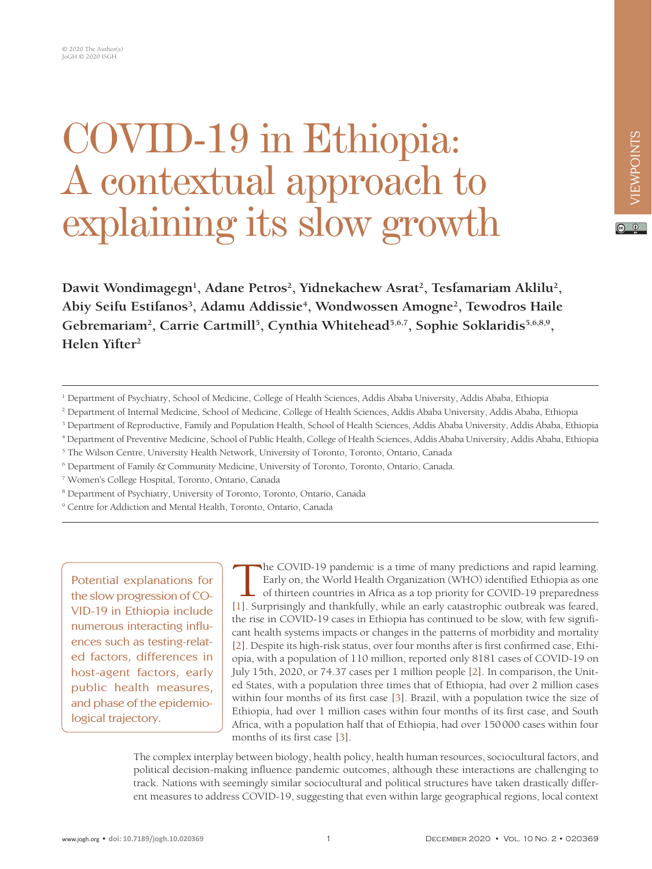# COVID-19 in Ethiopia: A contextual approach to explaining its slow growth

 $\odot$   $\odot$ 

Dawit Wondimagegn<sup>1</sup>, Adane Petros<sup>2</sup>, Yidnekachew Asrat<sup>2</sup>, Tesfamariam Aklilu<sup>2</sup>, Abiy Seifu Estifanos<sup>3</sup>, Adamu Addissie<sup>4</sup>, Wondwossen Amogne<sup>2</sup>, Tewodros Haile Gebremariam<sup>2</sup>, Carrie Cartmill<sup>5</sup>, Cynthia Whitehead<sup>5,6,7</sup>, Sophie Soklaridis<sup>5,6,8,9</sup>, **Helen Yifter2**

- <sup>1</sup> Department of Psychiatry, School of Medicine, College of Health Sciences, Addis Ababa University, Addis Ababa, Ethiopia
- 2 Department of Internal Medicine, School of Medicine, College of Health Sciences, Addis Ababa University, Addis Ababa, Ethiopia
- 3 Department of Reproductive, Family and Population Health, School of Health Sciences, Addis Ababa University, Addis Ababa, Ethiopia
- 4 Department of Preventive Medicine, School of Public Health, College of Health Sciences, Addis Ababa University, Addis Ababa, Ethiopia
- <sup>5</sup> The Wilson Centre, University Health Network, University of Toronto, Toronto, Ontario, Canada
- 6 Department of Family & Community Medicine, University of Toronto, Toronto, Ontario, Canada.
- 7 Women's College Hospital, Toronto, Ontario, Canada
- <sup>8</sup> Department of Psychiatry, University of Toronto, Toronto, Ontario, Canada
- <sup>9</sup> Centre for Addiction and Mental Health, Toronto, Ontario, Canada

Potential explanations for the slow progression of CO-VID-19 in Ethiopia include numerous interacting influences such as testing-related factors, differences in host-agent factors, early public health measures, and phase of the epidemiological trajectory.

The COVID-19 pandemic is a time of many predictions and rapid learning. Early on, the World Health Organization (WHO) identified Ethiopia as one of thirteen countries in Africa as a top priority for COVID-19 preparedness [\[1\]](#page-4-0). Surprisingly and thankfully, while an early catastrophic outbreak was feared, the rise in COVID-19 cases in Ethiopia has continued to be slow, with few significant health systems impacts or changes in the patterns of morbidity and mortality [\[2\]](#page-4-1). Despite its high-risk status, over four months after is first confirmed case, Ethiopia, with a population of 110 million, reported only 8181 cases of COVID-19 on July 15th, 2020, or 74.37 cases per 1 million people [\[2\]](#page-4-1). In comparison, the United States, with a population three times that of Ethiopia, had over 2 million cases within four months of its first case [\[3](#page-4-2)]. Brazil, with a population twice the size of Ethiopia, had over 1 million cases within four months of its first case, and South Africa, with a population half that of Ethiopia, had over 150000 cases within four months of its first case [[3](#page-4-2)].

The complex interplay between biology, health policy, health human resources, sociocultural factors, and political decision-making influence pandemic outcomes, although these interactions are challenging to track. Nations with seemingly similar sociocultural and political structures have taken drastically different measures to address COVID-19, suggesting that even within large geographical regions, local context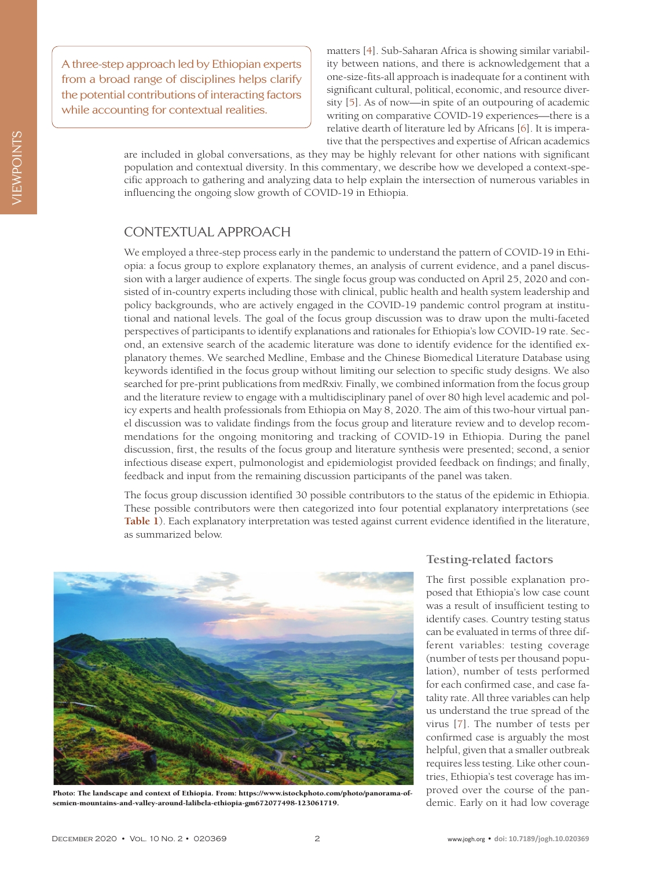A three-step approach led by Ethiopian experts from a broad range of disciplines helps clarify the potential contributions of interacting factors while accounting for contextual realities.

matters [[4](#page-4-3)]. Sub-Saharan Africa is showing similar variability between nations, and there is acknowledgement that a one-size-fits-all approach is inadequate for a continent with significant cultural, political, economic, and resource diversity [[5](#page-4-4)]. As of now—in spite of an outpouring of academic writing on comparative COVID-19 experiences—there is a relative dearth of literature led by Africans [[6\]](#page-4-5). It is imperative that the perspectives and expertise of African academics

are included in global conversations, as they may be highly relevant for other nations with significant population and contextual diversity. In this commentary, we describe how we developed a context-specific approach to gathering and analyzing data to help explain the intersection of numerous variables in influencing the ongoing slow growth of COVID-19 in Ethiopia.

# CONTEXTUAL APPROACH

We employed a three-step process early in the pandemic to understand the pattern of COVID-19 in Ethiopia: a focus group to explore explanatory themes, an analysis of current evidence, and a panel discussion with a larger audience of experts. The single focus group was conducted on April 25, 2020 and consisted of in-country experts including those with clinical, public health and health system leadership and policy backgrounds, who are actively engaged in the COVID-19 pandemic control program at institutional and national levels. The goal of the focus group discussion was to draw upon the multi-faceted perspectives of participants to identify explanations and rationales for Ethiopia's low COVID-19 rate. Second, an extensive search of the academic literature was done to identify evidence for the identified explanatory themes. We searched Medline, Embase and the Chinese Biomedical Literature Database using keywords identified in the focus group without limiting our selection to specific study designs. We also searched for pre-print publications from medRxiv. Finally, we combined information from the focus group and the literature review to engage with a multidisciplinary panel of over 80 high level academic and policy experts and health professionals from Ethiopia on May 8, 2020. The aim of this two-hour virtual panel discussion was to validate findings from the focus group and literature review and to develop recommendations for the ongoing monitoring and tracking of COVID-19 in Ethiopia. During the panel discussion, first, the results of the focus group and literature synthesis were presented; second, a senior infectious disease expert, pulmonologist and epidemiologist provided feedback on findings; and finally, feedback and input from the remaining discussion participants of the panel was taken.

The focus group discussion identified 30 possible contributors to the status of the epidemic in Ethiopia. These possible contributors were then categorized into four potential explanatory interpretations (see **[Table 1](#page-2-0)**). Each explanatory interpretation was tested against current evidence identified in the literature, as summarized below.



Photo: The landscape and context of Ethiopia. From: https://www.istockphoto.com/photo/panorama-ofsemien-mountains-and-valley-around-lalibela-ethiopia-gm672077498-123061719.

### **Testing-related factors**

The first possible explanation proposed that Ethiopia's low case count was a result of insufficient testing to identify cases. Country testing status can be evaluated in terms of three different variables: testing coverage (number of tests per thousand population), number of tests performed for each confirmed case, and case fatality rate. All three variables can help us understand the true spread of the virus [[7](#page-4-6)]. The number of tests per confirmed case is arguably the most helpful, given that a smaller outbreak requires less testing. Like other countries, Ethiopia's test coverage has improved over the course of the pandemic. Early on it had low coverage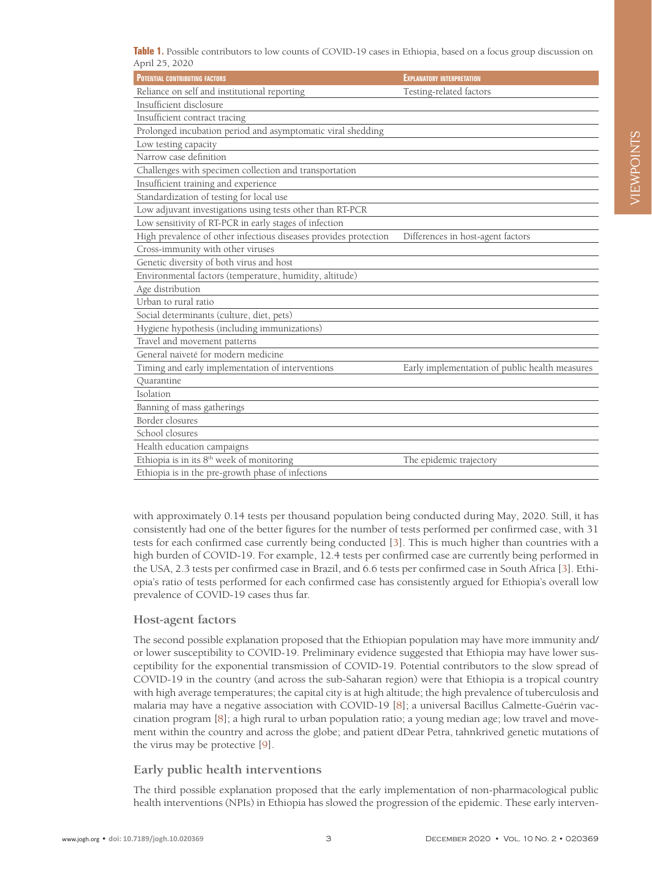<span id="page-2-0"></span>**Table 1.** Possible contributors to low counts of COVID-19 cases in Ethiopia, based on a focus group discussion on April 25, 2020

| <b>POTENTIAL CONTRIBUTING FACTORS</b>                            | <b>EXPLANATORY INTERPRETATION</b>              |
|------------------------------------------------------------------|------------------------------------------------|
| Reliance on self and institutional reporting                     | Testing-related factors                        |
| Insufficient disclosure                                          |                                                |
| Insufficient contract tracing                                    |                                                |
| Prolonged incubation period and asymptomatic viral shedding      |                                                |
| Low testing capacity                                             |                                                |
| Narrow case definition                                           |                                                |
| Challenges with specimen collection and transportation           |                                                |
| Insufficient training and experience                             |                                                |
| Standardization of testing for local use                         |                                                |
| Low adjuvant investigations using tests other than RT-PCR        |                                                |
| Low sensitivity of RT-PCR in early stages of infection           |                                                |
| High prevalence of other infectious diseases provides protection | Differences in host-agent factors              |
| Cross-immunity with other viruses                                |                                                |
| Genetic diversity of both virus and host                         |                                                |
| Environmental factors (temperature, humidity, altitude)          |                                                |
| Age distribution                                                 |                                                |
| Urban to rural ratio                                             |                                                |
| Social determinants (culture, diet, pets)                        |                                                |
| Hygiene hypothesis (including immunizations)                     |                                                |
| Travel and movement patterns                                     |                                                |
| General naiveté for modern medicine                              |                                                |
| Timing and early implementation of interventions                 | Early implementation of public health measures |
| Quarantine                                                       |                                                |
| Isolation                                                        |                                                |
| Banning of mass gatherings                                       |                                                |
| Border closures                                                  |                                                |
| School closures                                                  |                                                |
| Health education campaigns                                       |                                                |
| Ethiopia is in its $8^{\rm th}$ week of monitoring               | The epidemic trajectory                        |
| Ethiopia is in the pre-growth phase of infections                |                                                |

with approximately 0.14 tests per thousand population being conducted during May, 2020. Still, it has consistently had one of the better figures for the number of tests performed per confirmed case, with 31 tests for each confirmed case currently being conducted [\[3](#page-4-2)]. This is much higher than countries with a high burden of COVID-19. For example, 12.4 tests per confirmed case are currently being performed in the USA, 2.3 tests per confirmed case in Brazil, and 6.6 tests per confirmed case in South Africa [\[3](#page-4-2)]. Ethiopia's ratio of tests performed for each confirmed case has consistently argued for Ethiopia's overall low prevalence of COVID-19 cases thus far.

#### **Host-agent factors**

The second possible explanation proposed that the Ethiopian population may have more immunity and/ or lower susceptibility to COVID-19. Preliminary evidence suggested that Ethiopia may have lower susceptibility for the exponential transmission of COVID-19. Potential contributors to the slow spread of COVID-19 in the country (and across the sub-Saharan region) were that Ethiopia is a tropical country with high average temperatures; the capital city is at high altitude; the high prevalence of tuberculosis and malaria may have a negative association with COVID-19 [\[8](#page-4-7)]; a universal Bacillus Calmette-Guérin vaccination program [\[8](#page-4-7)]; a high rural to urban population ratio; a young median age; low travel and movement within the country and across the globe; and patient dDear Petra, tahnkrived genetic mutations of the virus may be protective [\[9\]](#page-4-8).

#### **Early public health interventions**

The third possible explanation proposed that the early implementation of non-pharmacological public health interventions (NPIs) in Ethiopia has slowed the progression of the epidemic. These early interven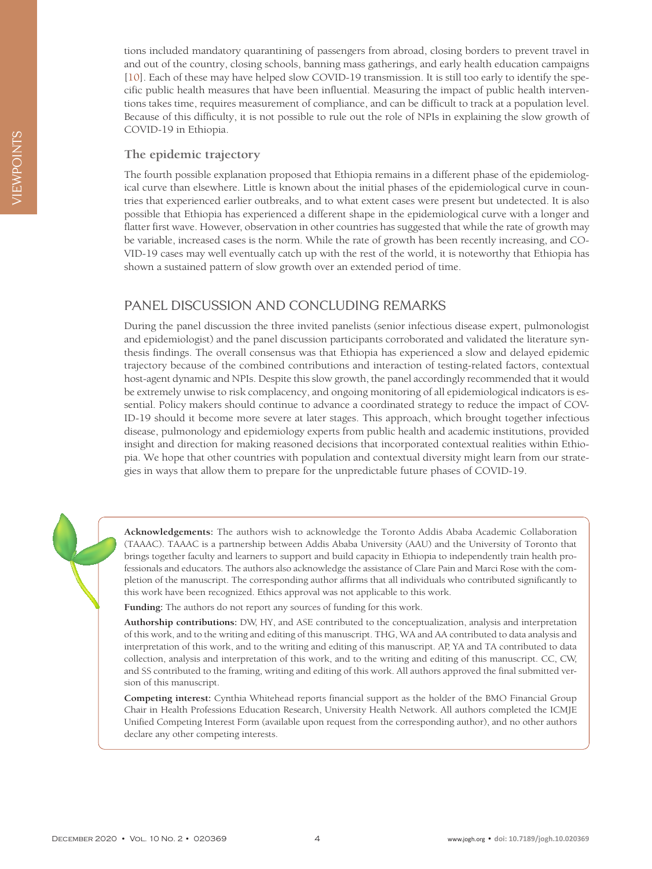tions included mandatory quarantining of passengers from abroad, closing borders to prevent travel in and out of the country, closing schools, banning mass gatherings, and early health education campaigns [[10](#page-4-9)]. Each of these may have helped slow COVID-19 transmission. It is still too early to identify the specific public health measures that have been influential. Measuring the impact of public health interventions takes time, requires measurement of compliance, and can be difficult to track at a population level. Because of this difficulty, it is not possible to rule out the role of NPIs in explaining the slow growth of COVID-19 in Ethiopia.

#### **The epidemic trajectory**

The fourth possible explanation proposed that Ethiopia remains in a different phase of the epidemiological curve than elsewhere. Little is known about the initial phases of the epidemiological curve in countries that experienced earlier outbreaks, and to what extent cases were present but undetected. It is also possible that Ethiopia has experienced a different shape in the epidemiological curve with a longer and flatter first wave. However, observation in other countries has suggested that while the rate of growth may be variable, increased cases is the norm. While the rate of growth has been recently increasing, and CO-VID-19 cases may well eventually catch up with the rest of the world, it is noteworthy that Ethiopia has shown a sustained pattern of slow growth over an extended period of time.

## PANEL DISCUSSION AND CONCLUDING REMARKS

During the panel discussion the three invited panelists (senior infectious disease expert, pulmonologist and epidemiologist) and the panel discussion participants corroborated and validated the literature synthesis findings. The overall consensus was that Ethiopia has experienced a slow and delayed epidemic trajectory because of the combined contributions and interaction of testing-related factors, contextual host-agent dynamic and NPIs. Despite this slow growth, the panel accordingly recommended that it would be extremely unwise to risk complacency, and ongoing monitoring of all epidemiological indicators is essential. Policy makers should continue to advance a coordinated strategy to reduce the impact of COV-ID-19 should it become more severe at later stages. This approach, which brought together infectious disease, pulmonology and epidemiology experts from public health and academic institutions, provided insight and direction for making reasoned decisions that incorporated contextual realities within Ethiopia. We hope that other countries with population and contextual diversity might learn from our strategies in ways that allow them to prepare for the unpredictable future phases of COVID-19.



**Acknowledgements:** The authors wish to acknowledge the Toronto Addis Ababa Academic Collaboration (TAAAC). TAAAC is a partnership between Addis Ababa University (AAU) and the University of Toronto that brings together faculty and learners to support and build capacity in Ethiopia to independently train health professionals and educators. The authors also acknowledge the assistance of Clare Pain and Marci Rose with the completion of the manuscript. The corresponding author affirms that all individuals who contributed significantly to this work have been recognized. Ethics approval was not applicable to this work.

**Funding:** The authors do not report any sources of funding for this work.

**Authorship contributions:** DW, HY, and ASE contributed to the conceptualization, analysis and interpretation of this work, and to the writing and editing of this manuscript. THG, WA and AA contributed to data analysis and interpretation of this work, and to the writing and editing of this manuscript. AP, YA and TA contributed to data collection, analysis and interpretation of this work, and to the writing and editing of this manuscript. CC, CW, and SS contributed to the framing, writing and editing of this work. All authors approved the final submitted version of this manuscript.

**Competing interest:** Cynthia Whitehead reports financial support as the holder of the BMO Financial Group Chair in Health Professions Education Research, University Health Network. All authors completed the ICMJE Unified Competing Interest Form (available upon request from the corresponding author), and no other authors declare any other competing interests.